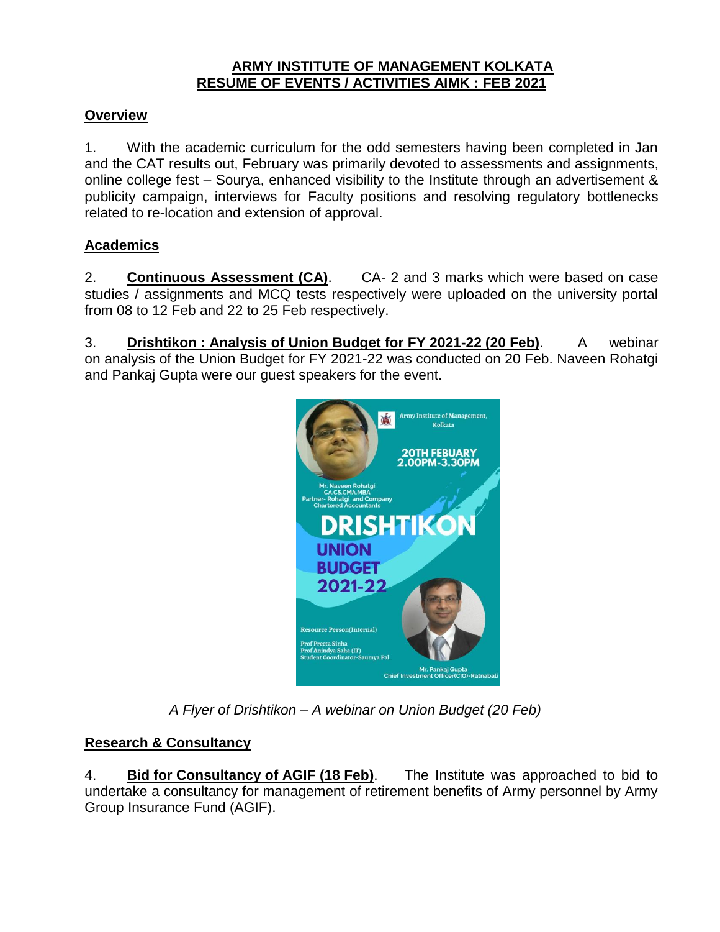#### **ARMY INSTITUTE OF MANAGEMENT KOLKATA RESUME OF EVENTS / ACTIVITIES AIMK : FEB 2021**

## **Overview**

1. With the academic curriculum for the odd semesters having been completed in Jan and the CAT results out, February was primarily devoted to assessments and assignments, online college fest – Sourya, enhanced visibility to the Institute through an advertisement & publicity campaign, interviews for Faculty positions and resolving regulatory bottlenecks related to re-location and extension of approval.

## **Academics**

2. **Continuous Assessment (CA)**. CA- 2 and 3 marks which were based on case studies / assignments and MCQ tests respectively were uploaded on the university portal from 08 to 12 Feb and 22 to 25 Feb respectively.

3. **Drishtikon : Analysis of Union Budget for FY 2021-22 (20 Feb)**. A webinar on analysis of the Union Budget for FY 2021-22 was conducted on 20 Feb. Naveen Rohatgi and Pankaj Gupta were our guest speakers for the event.



*A Flyer of Drishtikon – A webinar on Union Budget (20 Feb)*

# **Research & Consultancy**

4. **Bid for Consultancy of AGIF (18 Feb)**. The Institute was approached to bid to undertake a consultancy for management of retirement benefits of Army personnel by Army Group Insurance Fund (AGIF).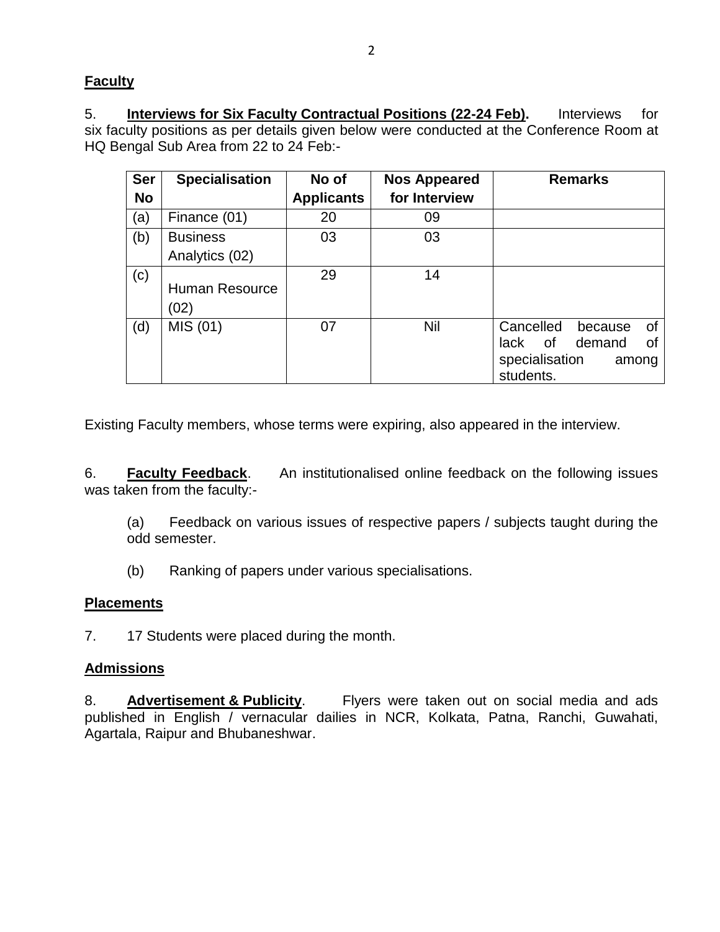# **Faculty**

5. **Interviews for Six Faculty Contractual Positions (22-24 Feb).** Interviews for six faculty positions as per details given below were conducted at the Conference Room at HQ Bengal Sub Area from 22 to 24 Feb:-

| <b>Ser</b><br><b>No</b> | <b>Specialisation</b>             | No of<br><b>Applicants</b> | <b>Nos Appeared</b><br>for Interview | <b>Remarks</b>                                                                                   |
|-------------------------|-----------------------------------|----------------------------|--------------------------------------|--------------------------------------------------------------------------------------------------|
| (a)                     | Finance (01)                      | 20                         | 09                                   |                                                                                                  |
| (b)                     | <b>Business</b><br>Analytics (02) | 03                         | 03                                   |                                                                                                  |
| (c)                     | Human Resource<br>(02)            | 29                         | 14                                   |                                                                                                  |
| (d)                     | MIS (01)                          | 07                         | Nil                                  | Cancelled<br>0f<br>because<br>demand<br>of<br>lack<br>οf<br>specialisation<br>among<br>students. |

Existing Faculty members, whose terms were expiring, also appeared in the interview.

6. **Faculty Feedback**. An institutionalised online feedback on the following issues was taken from the faculty:-

(a) Feedback on various issues of respective papers / subjects taught during the odd semester.

(b) Ranking of papers under various specialisations.

# **Placements**

7. 17 Students were placed during the month.

# **Admissions**

8. **Advertisement & Publicity**. Flyers were taken out on social media and ads published in English / vernacular dailies in NCR, Kolkata, Patna, Ranchi, Guwahati, Agartala, Raipur and Bhubaneshwar.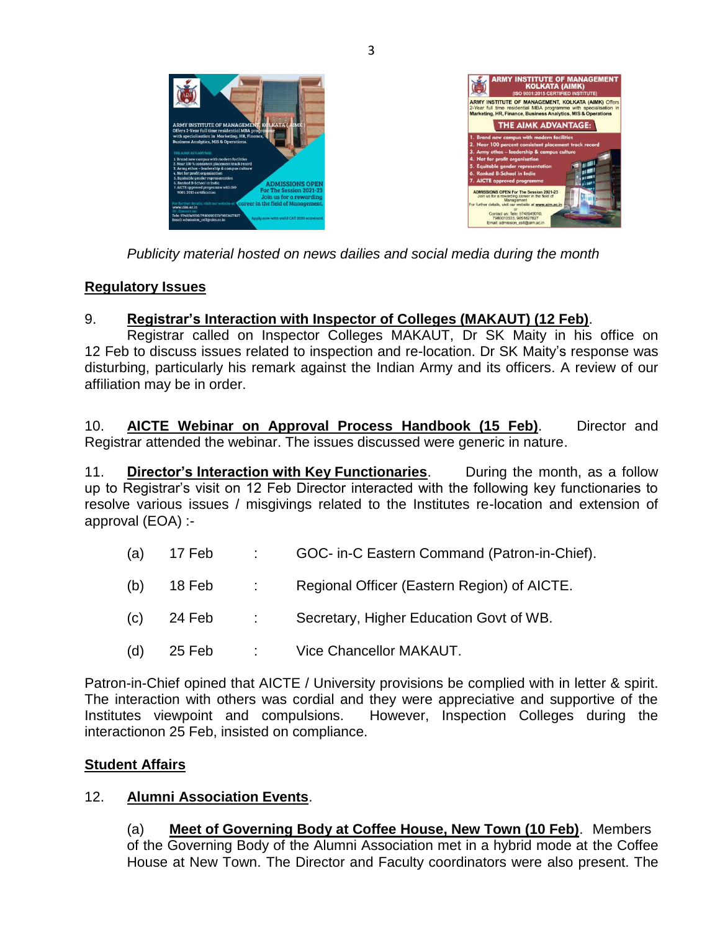



*Publicity material hosted on news dailies and social media during the month*

#### **Regulatory Issues**

#### 9. **Registrar's Interaction with Inspector of Colleges (MAKAUT) (12 Feb)**.

Registrar called on Inspector Colleges MAKAUT, Dr SK Maity in his office on 12 Feb to discuss issues related to inspection and re-location. Dr SK Maity's response was disturbing, particularly his remark against the Indian Army and its officers. A review of our affiliation may be in order.

10. **AICTE Webinar on Approval Process Handbook (15 Feb)**. Director and Registrar attended the webinar. The issues discussed were generic in nature.

11. **Director's Interaction with Key Functionaries**. During the month, as a follow up to Registrar's visit on 12 Feb Director interacted with the following key functionaries to resolve various issues / misgivings related to the Institutes re-location and extension of approval (EOA) :-

- (a) 17 Feb : GOC- in-C Eastern Command (Patron-in-Chief).
- (b) 18 Feb : Regional Officer (Eastern Region) of AICTE.
- (c) 24 Feb : Secretary, Higher Education Govt of WB.
- (d) 25 Feb : Vice Chancellor MAKAUT.

Patron-in-Chief opined that AICTE / University provisions be complied with in letter & spirit. The interaction with others was cordial and they were appreciative and supportive of the Institutes viewpoint and compulsions. However, Inspection Colleges during the interactionon 25 Feb, insisted on compliance.

#### **Student Affairs**

#### 12. **Alumni Association Events**.

(a) **Meet of Governing Body at Coffee House, New Town (10 Feb)**. Members of the Governing Body of the Alumni Association met in a hybrid mode at the Coffee House at New Town. The Director and Faculty coordinators were also present. The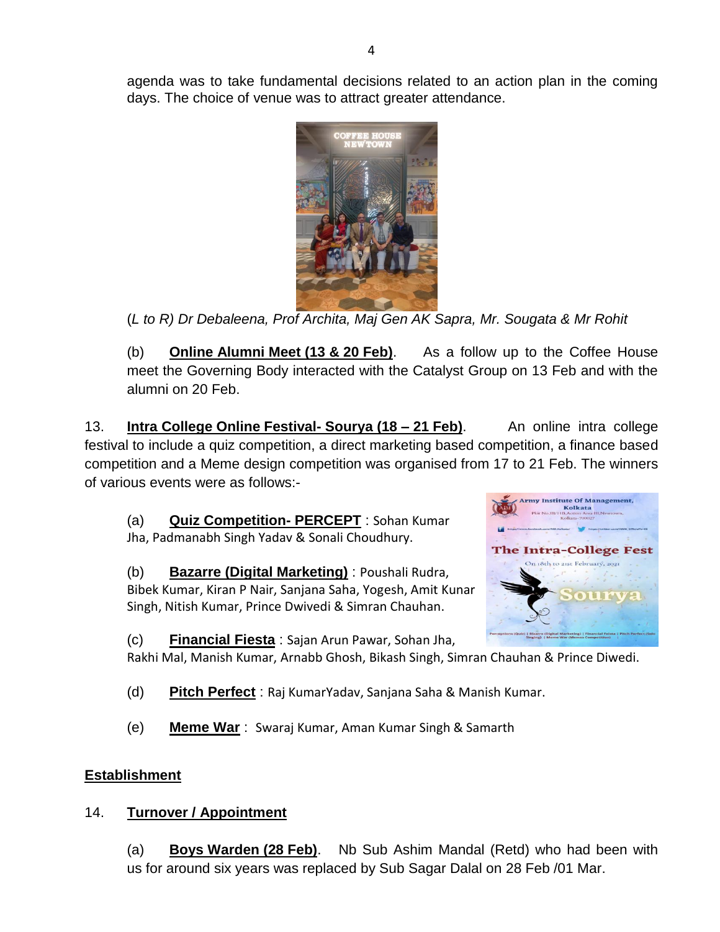agenda was to take fundamental decisions related to an action plan in the coming days. The choice of venue was to attract greater attendance.



(*L to R) Dr Debaleena, Prof Archita, Maj Gen AK Sapra, Mr. Sougata & Mr Rohit*

(b) **Online Alumni Meet (13 & 20 Feb)**. As a follow up to the Coffee House meet the Governing Body interacted with the Catalyst Group on 13 Feb and with the alumni on 20 Feb.

13. **Intra College Online Festival- Sourya (18 – 21 Feb)**. An online intra college festival to include a quiz competition, a direct marketing based competition, a finance based competition and a Meme design competition was organised from 17 to 21 Feb. The winners of various events were as follows:-

(a) **Quiz Competition- PERCEPT** : Sohan Kumar Jha, Padmanabh Singh Yadav & Sonali Choudhury.

(b) **Bazarre (Digital Marketing)** : Poushali Rudra, Bibek Kumar, Kiran P Nair, Sanjana Saha, Yogesh, Amit Kunar Singh, Nitish Kumar, Prince Dwivedi & Simran Chauhan.



(c) **Financial Fiesta** : Sajan Arun Pawar, Sohan Jha,

Rakhi Mal, Manish Kumar, Arnabb Ghosh, Bikash Singh, Simran Chauhan & Prince Diwedi.

(d) **Pitch Perfect** : Raj KumarYadav, Sanjana Saha & Manish Kumar.

(e) **Meme War** : Swaraj Kumar, Aman Kumar Singh & Samarth

## **Establishment**

## 14. **Turnover / Appointment**

(a) **Boys Warden (28 Feb)**. Nb Sub Ashim Mandal (Retd) who had been with us for around six years was replaced by Sub Sagar Dalal on 28 Feb /01 Mar.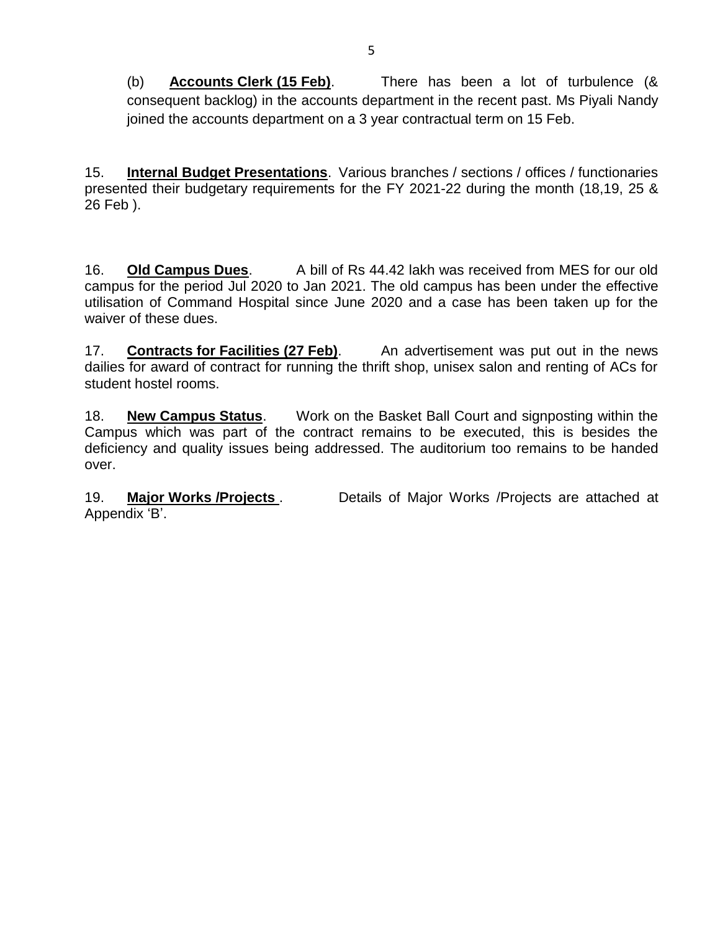(b) **Accounts Clerk (15 Feb)**. There has been a lot of turbulence (& consequent backlog) in the accounts department in the recent past. Ms Piyali Nandy joined the accounts department on a 3 year contractual term on 15 Feb.

15. **Internal Budget Presentations**. Various branches / sections / offices / functionaries presented their budgetary requirements for the FY 2021-22 during the month (18,19, 25 & 26 Feb ).

16. **Old Campus Dues**. A bill of Rs 44.42 lakh was received from MES for our old campus for the period Jul 2020 to Jan 2021. The old campus has been under the effective utilisation of Command Hospital since June 2020 and a case has been taken up for the waiver of these dues.

17. **Contracts for Facilities (27 Feb)**. An advertisement was put out in the news dailies for award of contract for running the thrift shop, unisex salon and renting of ACs for student hostel rooms.

18. **New Campus Status**. Work on the Basket Ball Court and signposting within the Campus which was part of the contract remains to be executed, this is besides the deficiency and quality issues being addressed. The auditorium too remains to be handed over.

19. **Major Works /Projects** . Details of Major Works /Projects are attached at Appendix 'B'.